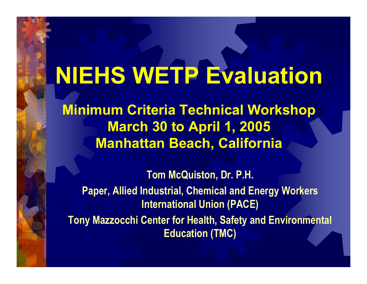# NIEHS WETP Evaluation

Minimum Criteria Technical Workshop **March 30 to April 1, 2005** Manhattan Beach, California

Tom McQuiston, Dr. P.H. Paper, Allied Industrial, Chemical and Energy Workers International Union (PACE) Tony Mazzocchi Center for Health, Safety and Environmental Education (TMC)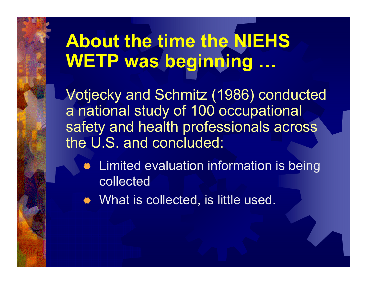## About the time the NIEHS WETP was beginning …

Votjecky and Schmitz (1986) conducted a national study of 100 occupational safety and health professionals across the U.S. and concluded:

� Limited evaluation information is being collected

� What is collected, is little used.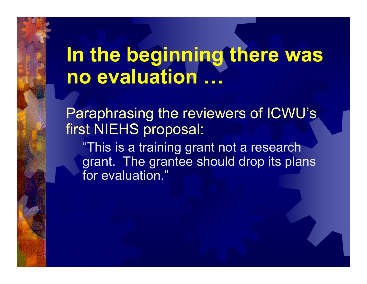## In the beginning there was no evaluation …

Paraphrasing the reviewers of ICWU's first NIEHS proposal:

"This is a training grant not a research grant. The grantee should drop its plans for evaluation."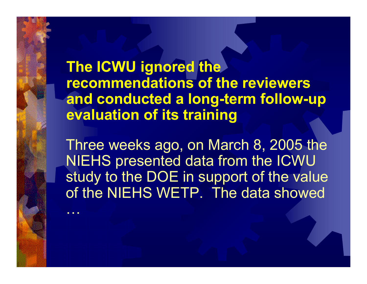The ICWU ignored the recommendations of the reviewers and conducted a long-term follow-up evaluation of its training

Three weeks ago, on March 8, 2005 the NIEHS presented data from the ICWU study to the DOE in support of the value of the NIEHS WETP. The data showed

…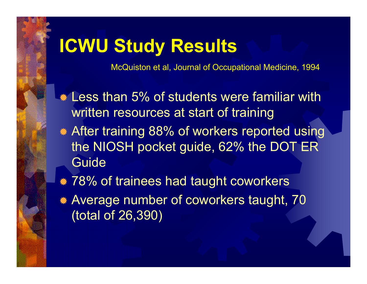### ICWU Study Results

McQuiston et al, Journal of Occupational Medicine, 1994

- **\* Less than 5% of students were familiar with** written resources at start of training
- � After training 88% of workers reported using the NIOSH pocket guide, 62% the DOT ER Guide
- $*$  78% of trainees had taught coworkers
- � Average number of coworkers taught, 70 (total of 26,390)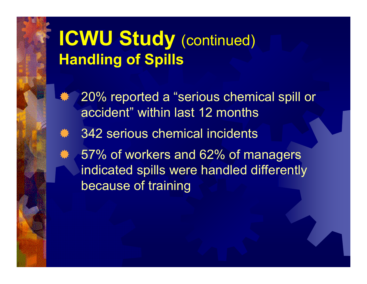## ICWU Study (continued) Handling of Spills

- � 20% reported a "serious chemical spill or accident" within last 12 months
- \* 342 serious chemical incidents
- \* 57% of workers and 62% of managers indicated spills were handled differently because of training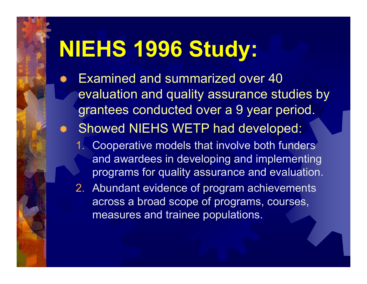## NIEHS 1996 Study:

- � Examined and summarized over 40 evaluation and quality assurance studies by grantees conducted over a 9 year period.
- � Showed NIEHS WETP had developed:
	- 1. Cooperative models that involve both funders and awardees in developing and implementing programs for quality assurance and evaluation.
	- 2. Abundant evidence of program achievements across a broad scope of programs, courses, measures and trainee populations.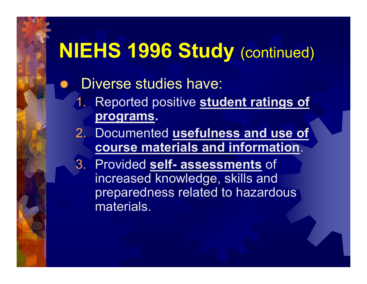## NIEHS 1996 Study (continued)

#### �Diverse studies have:

- 1.Reported positive student ratings of programs.
- 2. Documented usefulness and use of course materials and information.
- 3. Provided self- assessments of increased knowledge, skills and preparedness related to hazardous materials.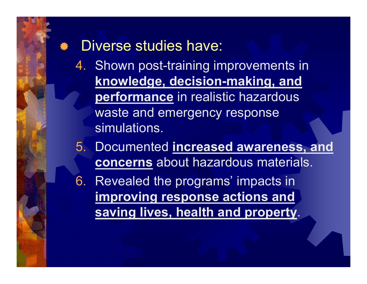#### \* Diverse studies have:

- 4. Shown post-training improvements in knowledge, decision-making, and performance in realistic hazardous waste and emergency response simulations.
- 5. Documented increased awareness, and concerns about hazardous materials.
- 6. Revealed the programs' impacts in improving response actions and saving lives, health and property.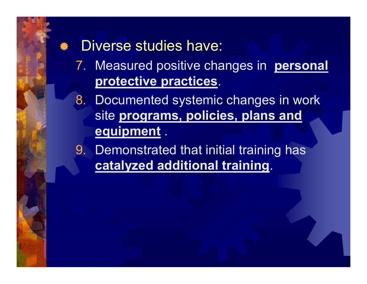#### \* Diverse studies have:

- 7. Measured positive changes in **personal** protective practices.
- 8. Documented systemic changes in work site programs, policies, plans and equipment.
- 9. Demonstrated that initial training has catalyzed additional training.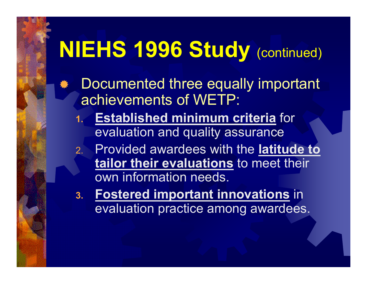## NIEHS 1996 Study (continued)

- �Documented three equally important achievements of WETP:
	- 1. Established minimum criteria for evaluation and quality assurance
	- 2. Provided awardees with the latitude to tailor their evaluations to meet their own information needs.
	- 3. Fostered important innovations in evaluation practice among awardees.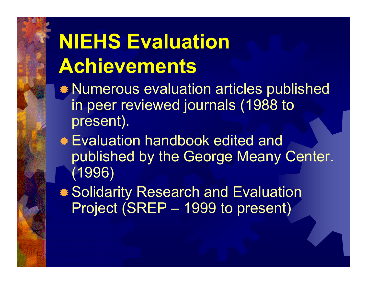## NIEHS Evaluation Achievements

- �Numerous evaluation articles published in peer reviewed journals (1988 to present).
- �Evaluation handbook edited and published by the George Meany Center. (1996)
- �Solidarity Research and Evaluation Project (SREP – 1999 to present)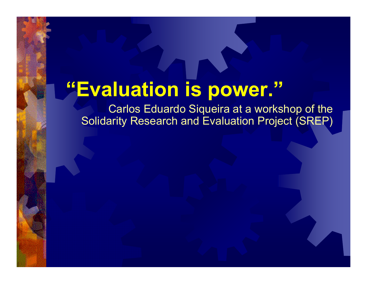## "Evaluation is power."

Carlos Eduardo Siqueira at a workshop of the Solidarity Research and Evaluation Project (SREP)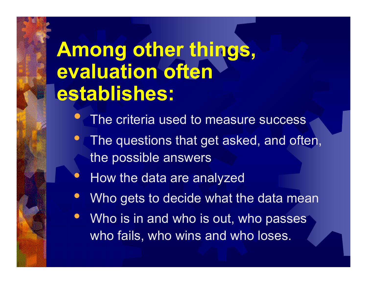## Among other things, evaluation often establishes:

- $\bullet$ • The criteria used to measure success
- $\bullet$ The questions that get asked, and often, the possible answers
- $\bullet$ How the data are analyzed
- $\bullet$ Who gets to decide what the data mean
- Who is in and who is out, who passes who fails, who wins and who loses.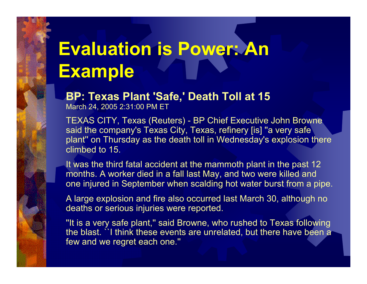## Evaluation is Power: An Example

BP: Texas Plant 'Safe,' Death Toll at 15

March 24, 2005 2:31:00 PM ET

TEXAS CITY, Texas (Reuters) - BP Chief Executive John Browne said the company's Texas City, Texas, refinery [is] "a very safe plant'' on Thursday as the death toll in Wednesday's explosion there climbed to 15.

It was the third fatal accident at the mammoth plant in the past 12 months. A worker died in a fall last May, and two were killed and one injured in September when scalding hot water burst from a pipe.

A large explosion and fire also occurred last March 30, although no deaths or serious injuries were reported.

''It is a very safe plant,'' said Browne, who rushed to Texas following the blast. ``I think these events are unrelated, but there have been a few and we regret each one.''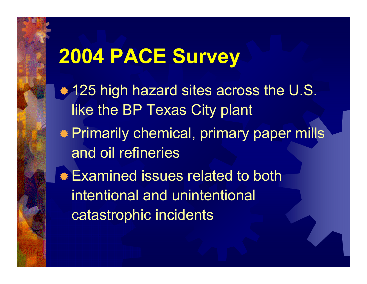$*$  **125 high hazard sites across the U.S.** like the BP Texas City plant �Primarily chemical, primary paper mills and oil refineries**\* Examined issues related to both** intentional and unintentional catastrophic incidents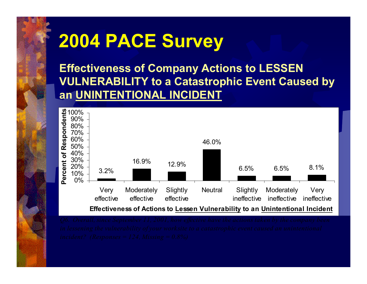Effectiveness of Company Actions to LESSEN VULNERABILITY to a Catastrophic Event Caused by an UNINTENTIONAL INCIDENT

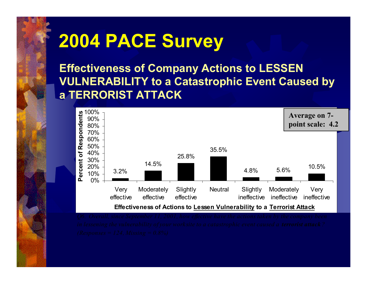Effectiveness of Company Actions to LESSEN VULNERABILITY to a Catastrophic Event Caused by a TERRORIST ATTACK

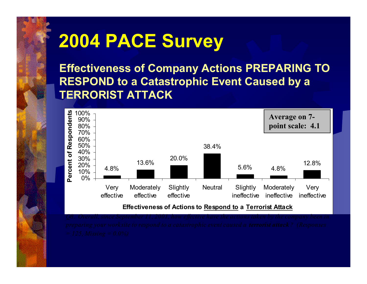Effectiveness of Company Actions PREPARING TO RESPOND to a Catastrophic Event Caused by a TERRORIST ATTACK

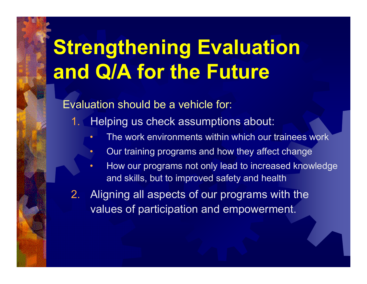## Strengthening Evaluation and Q/A for the Future

#### Evaluation should be a vehicle for:

 $\bullet$ 

- 1. Helping us check assumptions about:
	- •The work environments within which our trainees work
	- Our training programs and how they affect change
	- • How our programs not only lead to increased knowledge and skills, but to improved safety and health
- 2. Aligning all aspects of our programs with the values of participation and empowerment.